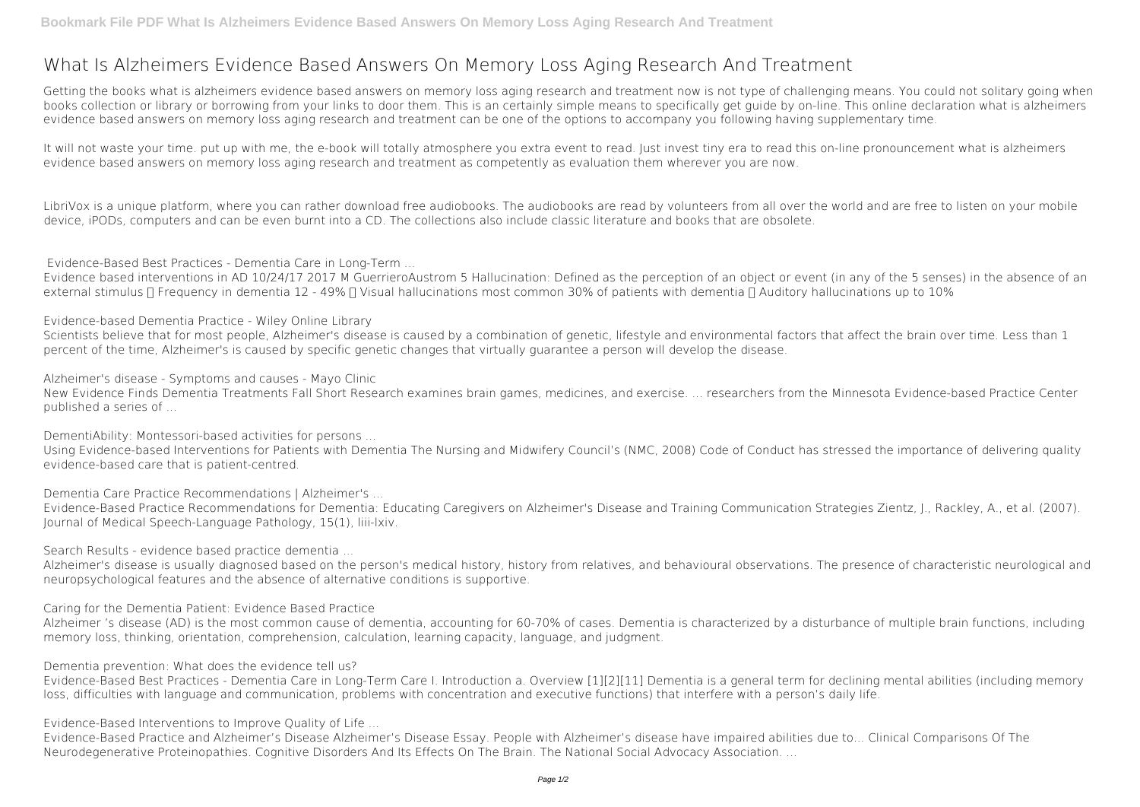## **What Is Alzheimers Evidence Based Answers On Memory Loss Aging Research And Treatment**

Getting the books **what is alzheimers evidence based answers on memory loss aging research and treatment** now is not type of challenging means. You could not solitary going when books collection or library or borrowing from your links to door them. This is an certainly simple means to specifically get guide by on-line. This online declaration what is alzheimers evidence based answers on memory loss aging research and treatment can be one of the options to accompany you following having supplementary time.

LibriVox is a unique platform, where you can rather download free audiobooks. The audiobooks are read by volunteers from all over the world and are free to listen on your mobile device, iPODs, computers and can be even burnt into a CD. The collections also include classic literature and books that are obsolete.

Evidence based interventions in AD 10/24/17 2017 M GuerrieroAustrom 5 Hallucination: Defined as the perception of an object or event (in any of the 5 senses) in the absence of an external stimulus  $\Box$  Frequency in dementia 12 - 49%  $\Box$  Visual hallucinations most common 30% of patients with dementia  $\Box$  Auditory hallucinations up to 10%

It will not waste your time. put up with me, the e-book will totally atmosphere you extra event to read. Just invest tiny era to read this on-line pronouncement **what is alzheimers evidence based answers on memory loss aging research and treatment** as competently as evaluation them wherever you are now.

Scientists believe that for most people, Alzheimer's disease is caused by a combination of genetic, lifestyle and environmental factors that affect the brain over time. Less than 1 percent of the time, Alzheimer's is caused by specific genetic changes that virtually guarantee a person will develop the disease.

**Evidence-Based Best Practices - Dementia Care in Long-Term ...**

Alzheimer's disease is usually diagnosed based on the person's medical history, history from relatives, and behavioural observations. The presence of characteristic neurological and neuropsychological features and the absence of alternative conditions is supportive.

**Evidence-based Dementia Practice - Wiley Online Library**

**Alzheimer's disease - Symptoms and causes - Mayo Clinic**

New Evidence Finds Dementia Treatments Fall Short Research examines brain games, medicines, and exercise. ... researchers from the Minnesota Evidence-based Practice Center published a series of ...

**DementiAbility: Montessori-based activities for persons ...**

Using Evidence-based Interventions for Patients with Dementia The Nursing and Midwifery Council's (NMC, 2008) Code of Conduct has stressed the importance of delivering quality evidence-based care that is patient-centred.

**Dementia Care Practice Recommendations | Alzheimer's ...**

Evidence-Based Practice Recommendations for Dementia: Educating Caregivers on Alzheimer's Disease and Training Communication Strategies Zientz, J., Rackley, A., et al. (2007). Journal of Medical Speech-Language Pathology, 15(1), liii-lxiv.

**Search Results - evidence based practice dementia ...**

**Caring for the Dementia Patient: Evidence Based Practice**

Alzheimer 's disease (AD) is the most common cause of dementia, accounting for 60-70% of cases. Dementia is characterized by a disturbance of multiple brain functions, including memory loss, thinking, orientation, comprehension, calculation, learning capacity, language, and judgment.

**Dementia prevention: What does the evidence tell us?**

Evidence-Based Best Practices - Dementia Care in Long-Term Care I. Introduction a. Overview [1][2][11] Dementia is a general term for declining mental abilities (including memory loss, difficulties with language and communication, problems with concentration and executive functions) that interfere with a person's daily life.

**Evidence-Based Interventions to Improve Quality of Life ...**

Evidence-Based Practice and Alzheimer's Disease Alzheimer's Disease Essay. People with Alzheimer's disease have impaired abilities due to... Clinical Comparisons Of The Neurodegenerative Proteinopathies. Cognitive Disorders And Its Effects On The Brain. The National Social Advocacy Association. ...